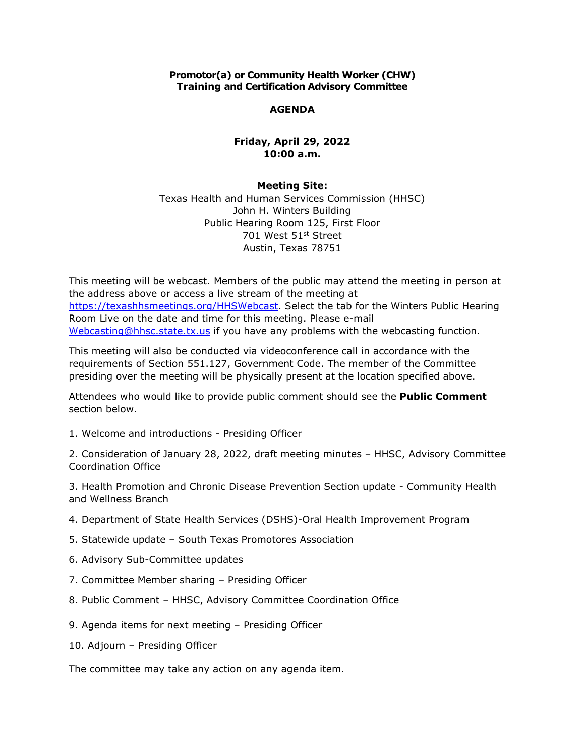**Promotor(a) or Community Health Worker (CHW) Training and Certification Advisory Committee**

## **AGENDA**

## **Friday, April 29, 2022 10:00 a.m.**

## **Meeting Site:**

Texas Health and Human Services Commission (HHSC) John H. Winters Building Public Hearing Room 125, First Floor 701 West 51st Street Austin, Texas 78751

This meeting will be webcast. Members of the public may attend the meeting in person at the address above or access a live stream of the meeting at [https://texashhsmeetings.org/HHSWebcast.](https://texashhsmeetings.org/HHSWebcast) Select the tab for the Winters Public Hearing Room Live on the date and time for this meeting. Please e-mail [Webcasting@hhsc.state.tx.us](mailto:Webcasting@hhsc.state.tx.us) if you have any problems with the webcasting function.

This meeting will also be conducted via videoconference call in accordance with the requirements of Section 551.127, Government Code. The member of the Committee presiding over the meeting will be physically present at the location specified above.

Attendees who would like to provide public comment should see the **Public Comment**  section below.

1. Welcome and introductions - Presiding Officer

2. Consideration of January 28, 2022, draft meeting minutes – HHSC, Advisory Committee Coordination Office

3. Health Promotion and Chronic Disease Prevention Section update - Community Health and Wellness Branch

- 4. Department of State Health Services (DSHS)-Oral Health Improvement Program
- 5. Statewide update South Texas Promotores Association
- 6. Advisory Sub-Committee updates
- 7. Committee Member sharing Presiding Officer
- 8. Public Comment HHSC, Advisory Committee Coordination Office
- 9. Agenda items for next meeting Presiding Officer
- 10. Adjourn Presiding Officer

The committee may take any action on any agenda item.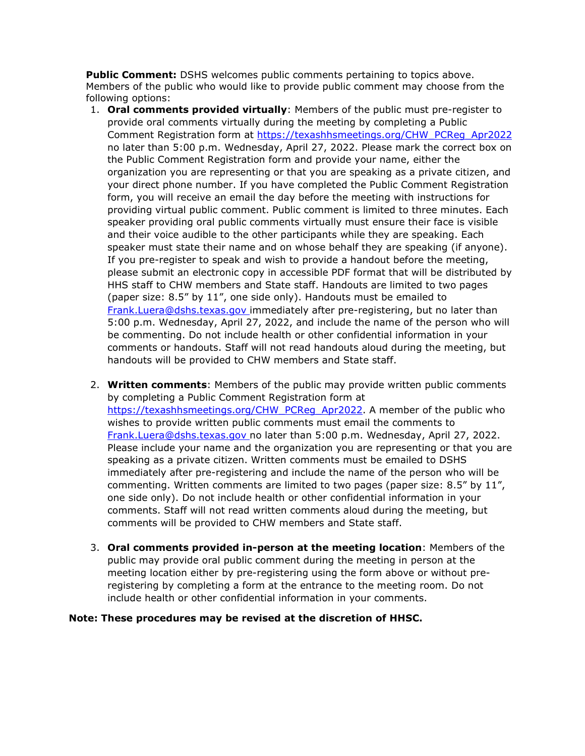**Public Comment:** DSHS welcomes public comments pertaining to topics above. Members of the public who would like to provide public comment may choose from the following options:

- 1. **Oral comments provided virtually**: Members of the public must pre-register to provide oral comments virtually during the meeting by completing a Public Comment Registration form at [https://texashhsmeetings.org/CHW\\_PCReg\\_Apr2022](https://texashhsmeetings.org/CHW_PCReg_Apr2022)  no later than 5:00 p.m. Wednesday, April 27, 2022. Please mark the correct box on the Public Comment Registration form and provide your name, either the organization you are representing or that you are speaking as a private citizen, and your direct phone number. If you have completed the Public Comment Registration form, you will receive an email the day before the meeting with instructions for providing virtual public comment. Public comment is limited to three minutes. Each speaker providing oral public comments virtually must ensure their face is visible and their voice audible to the other participants while they are speaking. Each speaker must state their name and on whose behalf they are speaking (if anyone). If you pre-register to speak and wish to provide a handout before the meeting, please submit an electronic copy in accessible PDF format that will be distributed by HHS staff to CHW members and State staff. Handouts are limited to two pages (paper size: 8.5" by 11", one side only). Handouts must be emailed to [Frank.Luera@dshs.texas.gov](mailto:Frank.Luera@dshs.texas.gov) immediately after pre-registering, but no later than 5:00 p.m. Wednesday, April 27, 2022, and include the name of the person who will be commenting. Do not include health or other confidential information in your comments or handouts. Staff will not read handouts aloud during the meeting, but handouts will be provided to CHW members and State staff.
- 2. **Written comments**: Members of the public may provide written public comments by completing a Public Comment Registration form at [https://texashhsmeetings.org/CHW\\_PCReg\\_Apr2022.](https://texashhsmeetings.org/CHW_PCReg_Apr2022) A member of the public who wishes to provide written public comments must email the comments to [Frank.Luera@dshs.texas.gov](mailto:Frank.Luera@dshs.texas.gov) no later than 5:00 p.m. Wednesday, April 27, 2022. Please include your name and the organization you are representing or that you are speaking as a private citizen. Written comments must be emailed to DSHS immediately after pre-registering and include the name of the person who will be commenting. Written comments are limited to two pages (paper size: 8.5" by 11", one side only). Do not include health or other confidential information in your comments. Staff will not read written comments aloud during the meeting, but comments will be provided to CHW members and State staff.
- 3. **Oral comments provided in-person at the meeting location**: Members of the public may provide oral public comment during the meeting in person at the meeting location either by pre-registering using the form above or without preregistering by completing a form at the entrance to the meeting room. Do not include health or other confidential information in your comments.

## **Note: These procedures may be revised at the discretion of HHSC.**